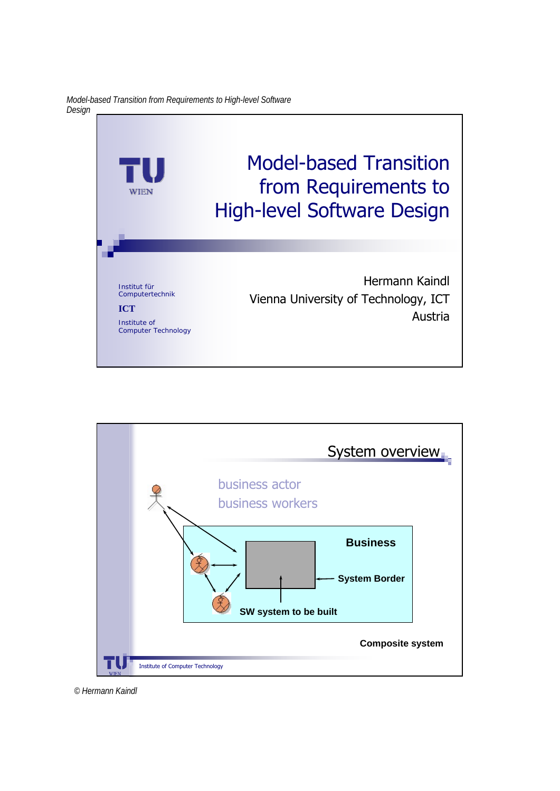*Model-based Transition from Requirements to High-level Software Design*



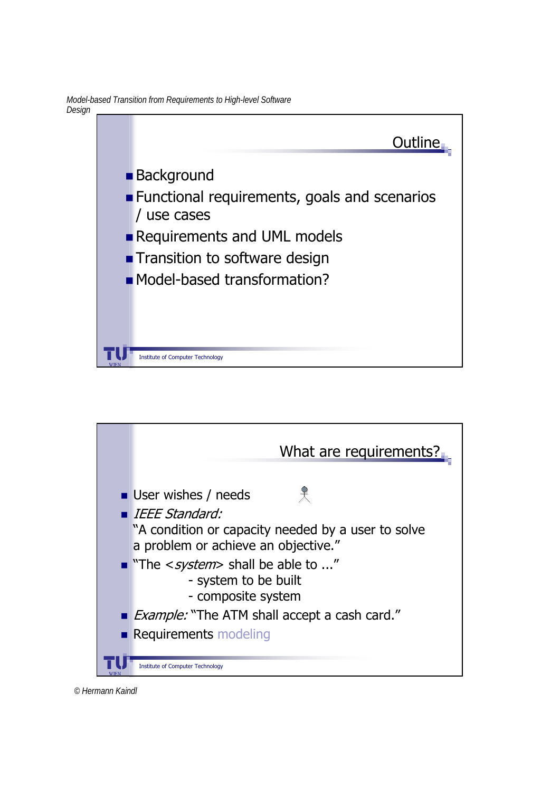*Model-based Transition from Requirements to High-level Software Design*





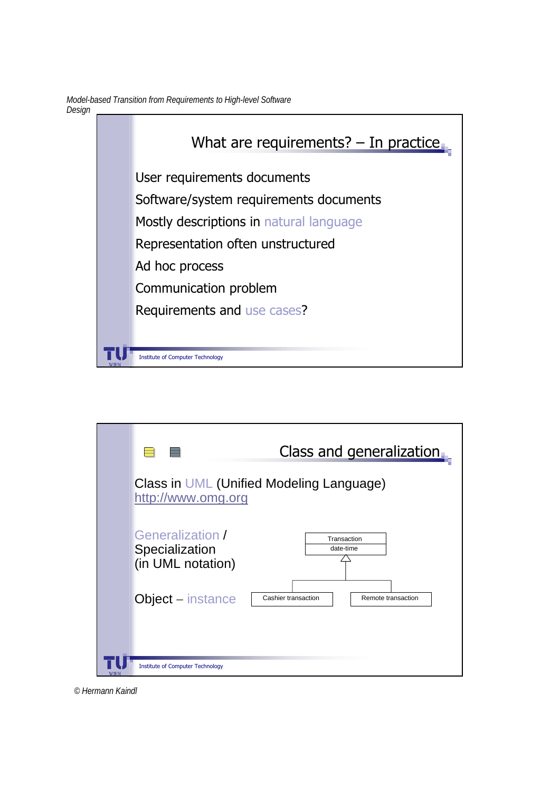*Model-based Transition from Requirements to High-level Software Design*



|             |                                                         | Class and generalization.                 |
|-------------|---------------------------------------------------------|-------------------------------------------|
|             | http://www.omg.org                                      | Class in UML (Unified Modeling Language)  |
|             | Generalization /<br>Specialization<br>(in UML notation) | Transaction<br>date-time                  |
|             | Object – instance                                       | Cashier transaction<br>Remote transaction |
| <b>WIEN</b> | <b>Institute of Computer Technology</b>                 |                                           |

*© Hermann Kaindl*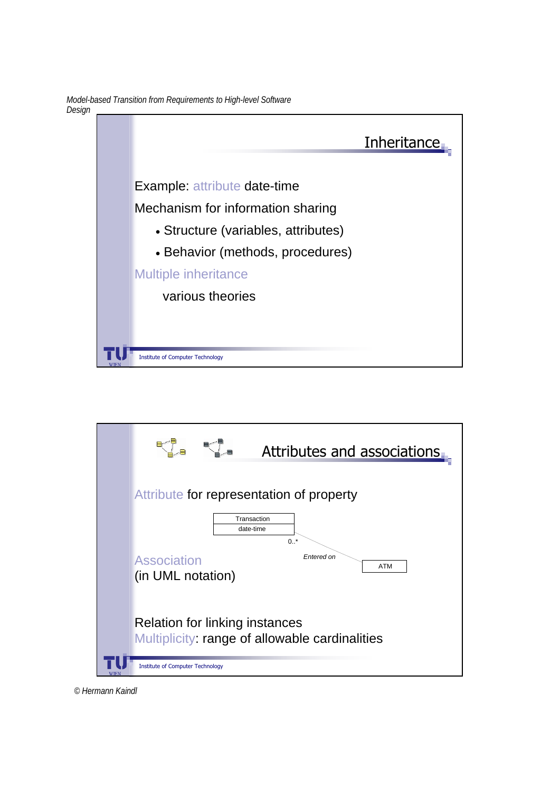*Model-based Transition from Requirements to High-level Software Design*





*© Hermann Kaindl*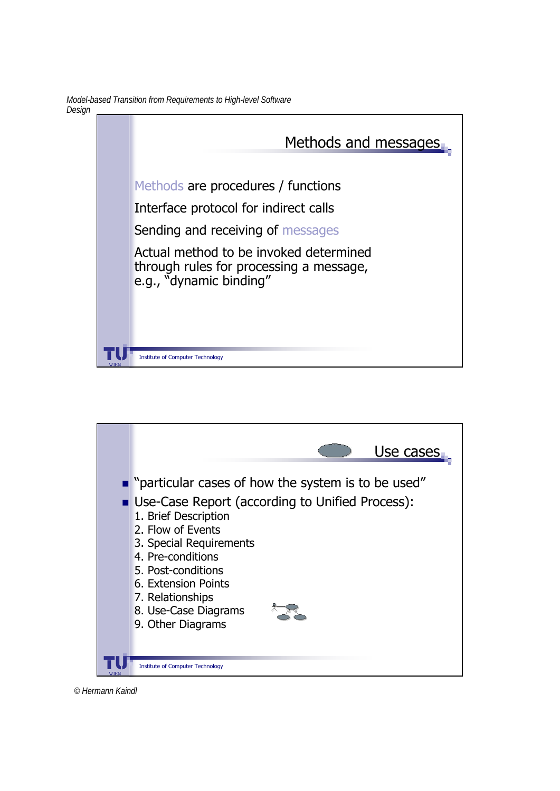*Model-based Transition from Requirements to High-level Software Design*





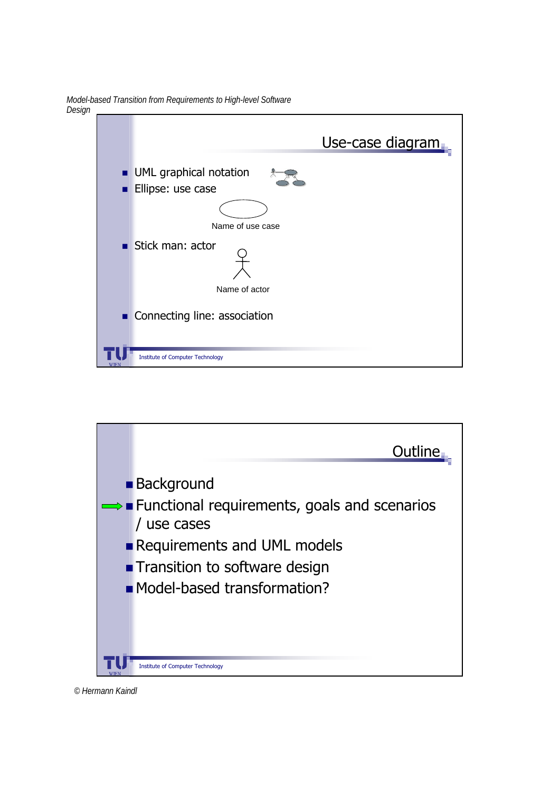*Model-based Transition from Requirements to High-level Software Design* Use-case diagram **UML** graphical notation **Ellipse: use case** Stick man: actor Name of actor Name of use case

Institute of Computer Technology

Connecting line: association



*© Hermann Kaindl*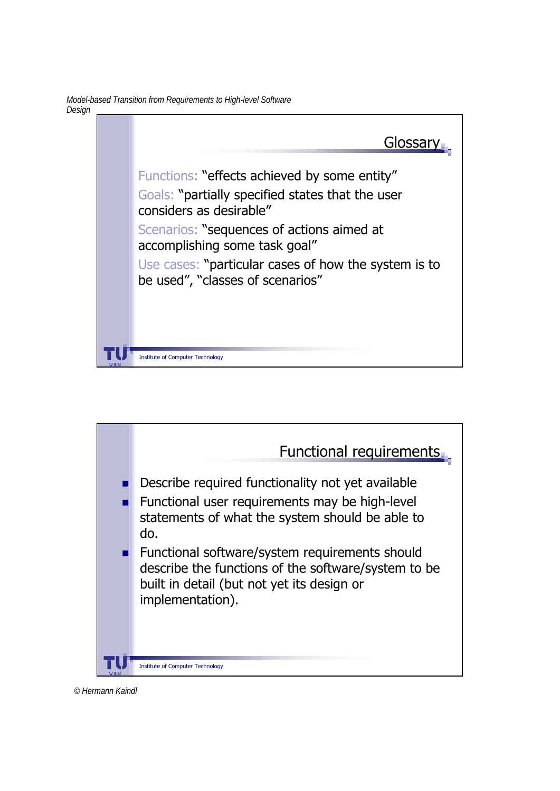*Model-based Transition from Requirements to High-level Software Design*





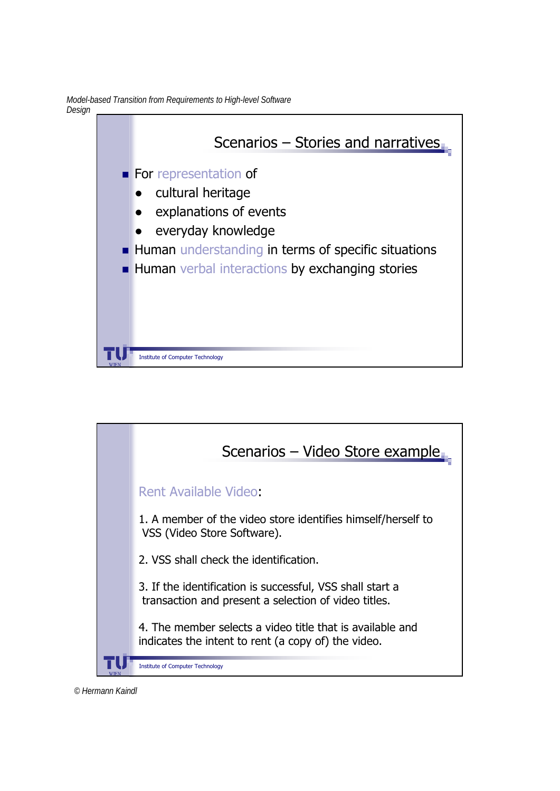*Model-based Transition from Requirements to High-level Software Design*



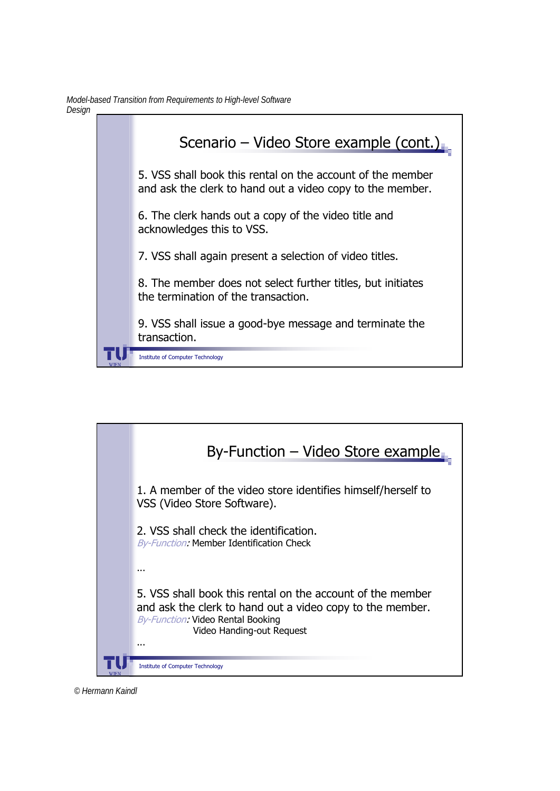



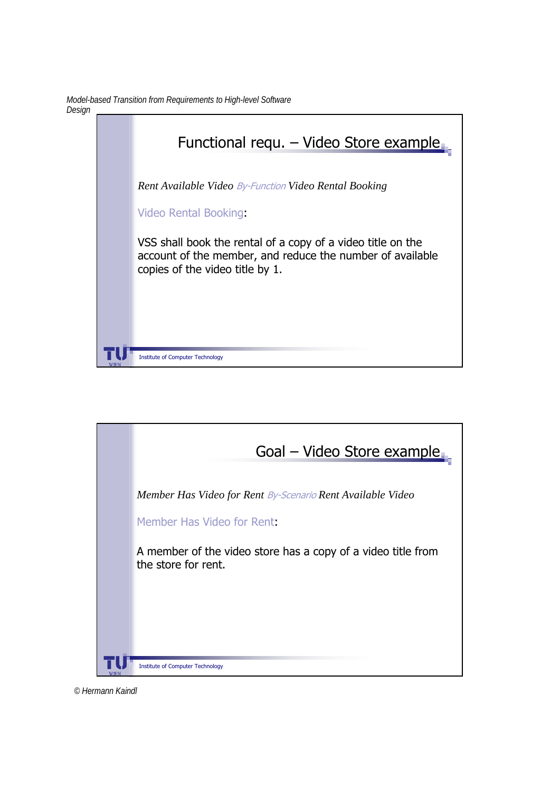*Model-based Transition from Requirements to High-level Software Design*



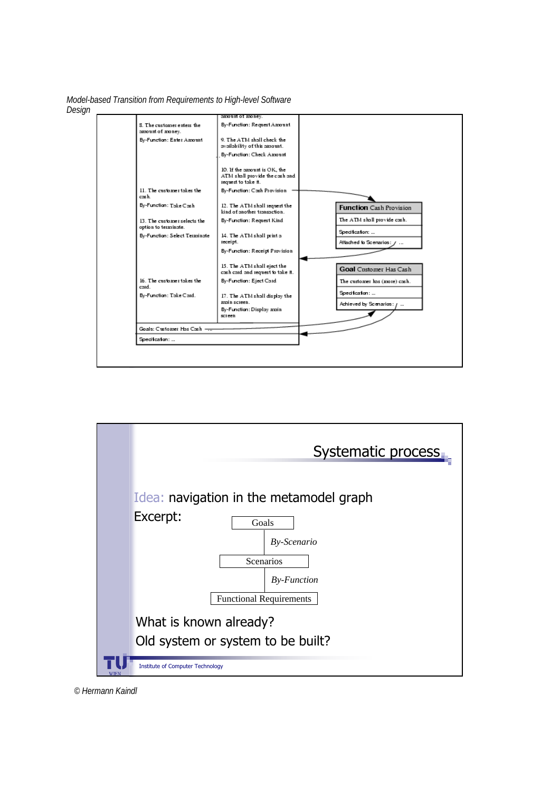*Model-based Transition from Requirements to High-level Software Design*



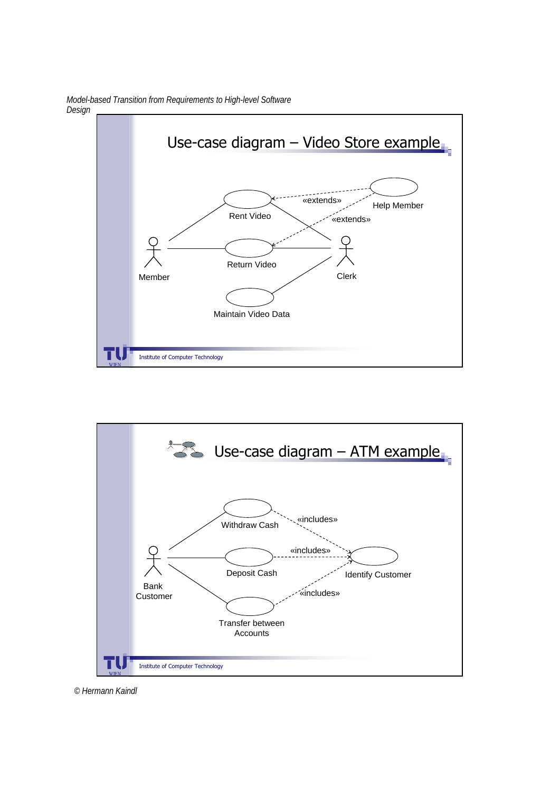

*Model-based Transition from Requirements to High-level Software Design*

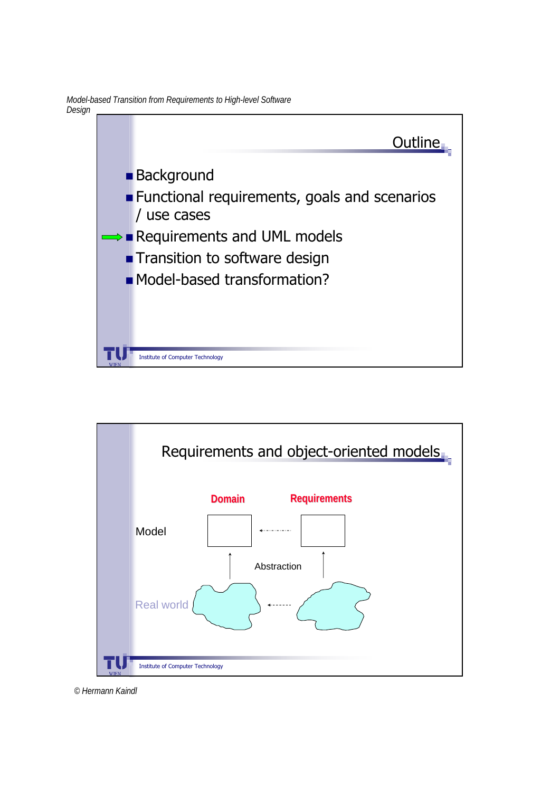*Model-based Transition from Requirements to High-level Software Design*



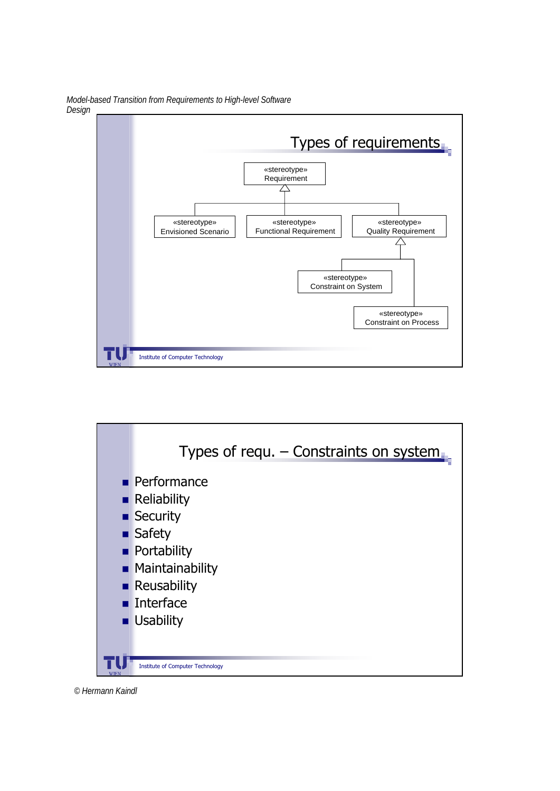*Model-based Transition from Requirements to High-level Software Design*



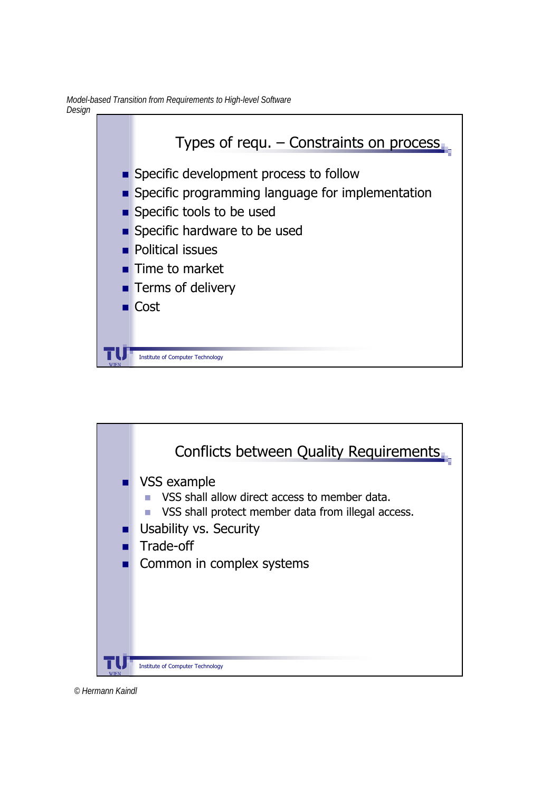*Model-based Transition from Requirements to High-level Software Design*



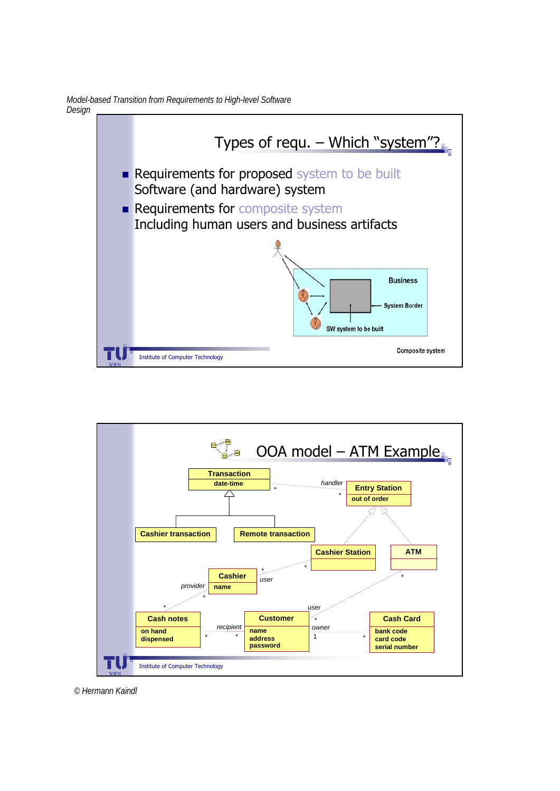*Model-based Transition from Requirements to High-level Software Design*



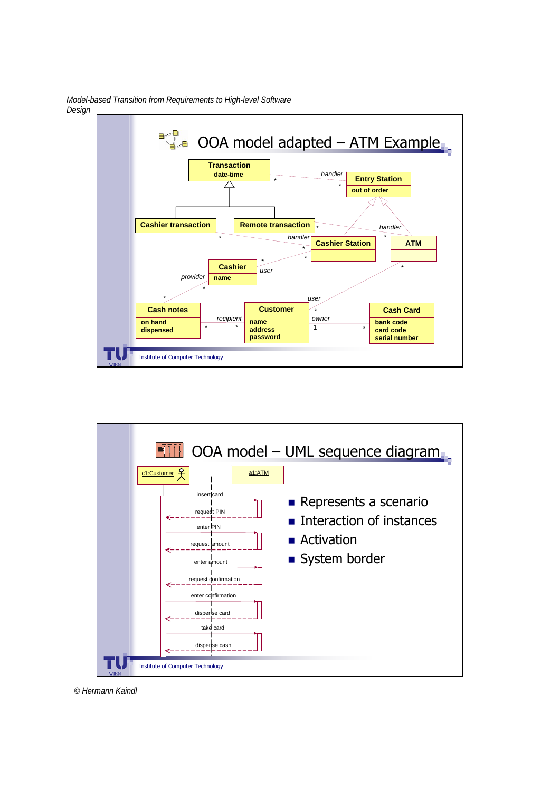*Model-based Transition from Requirements to High-level Software Design*



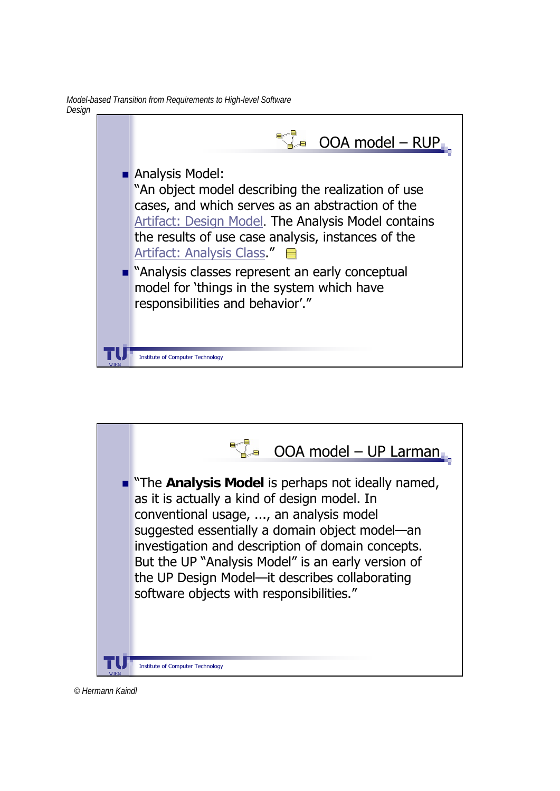*Model-based Transition from Requirements to High-level Software Design*



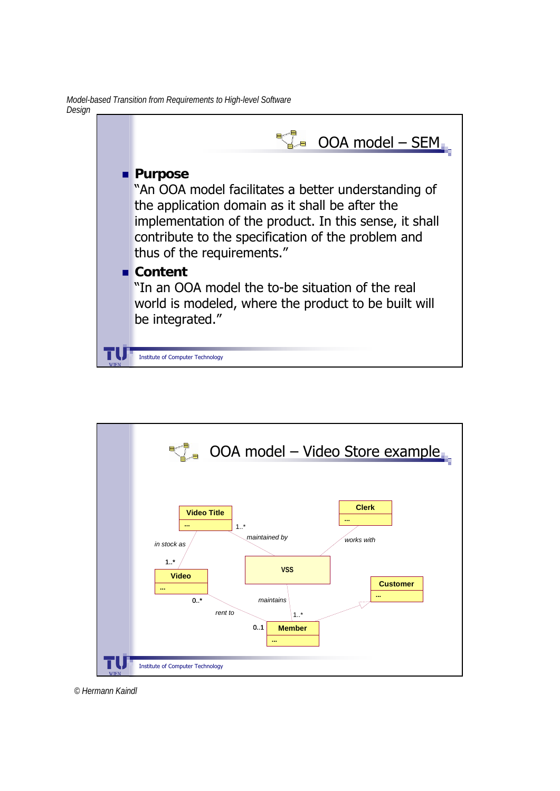*Model-based Transition from Requirements to High-level Software Design*



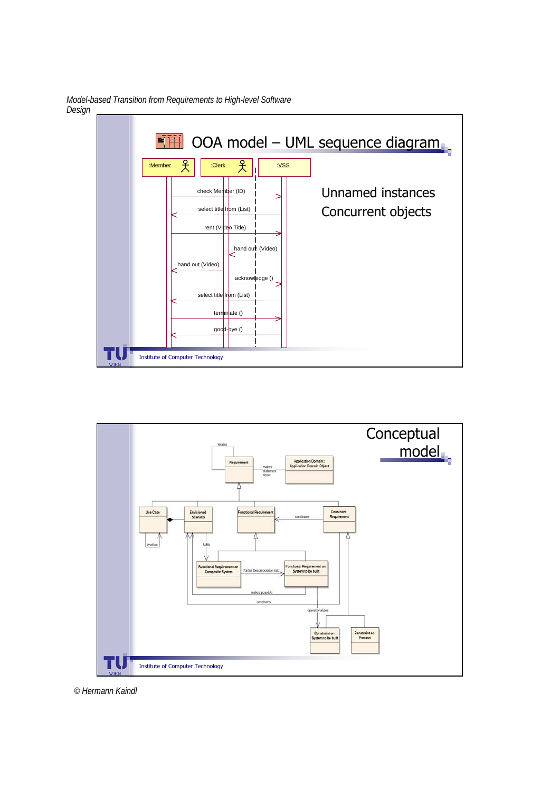

*Model-based Transition from Requirements to High-level Software Design*



*© Hermann Kaindl*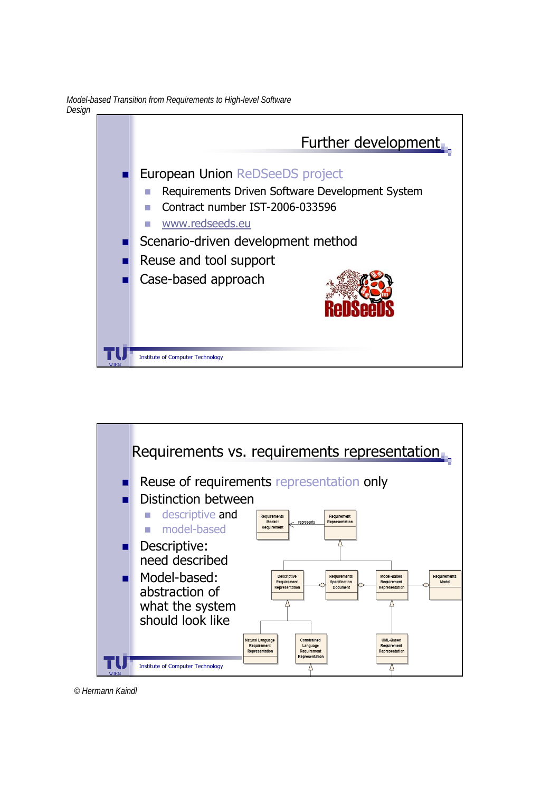*Model-based Transition from Requirements to High-level Software Design*





*© Hermann Kaindl*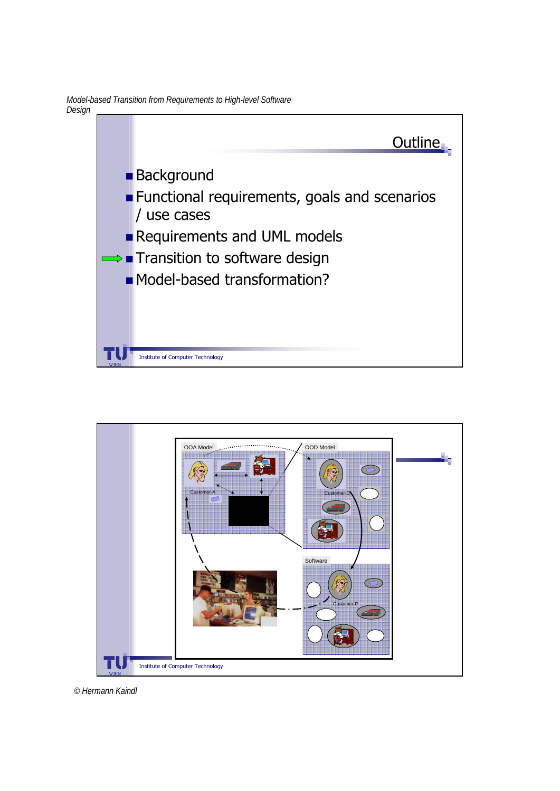*Model-based Transition from Requirements to High-level Software Design*



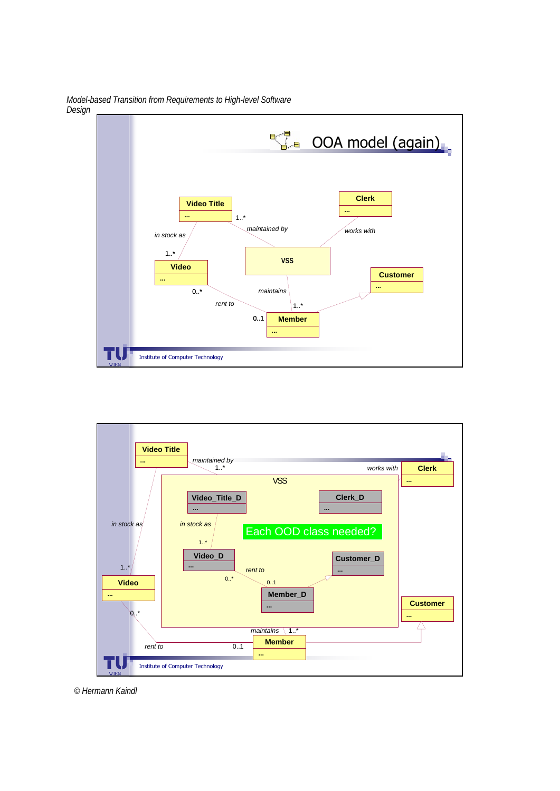

*Model-based Transition from Requirements to High-level Software Design*

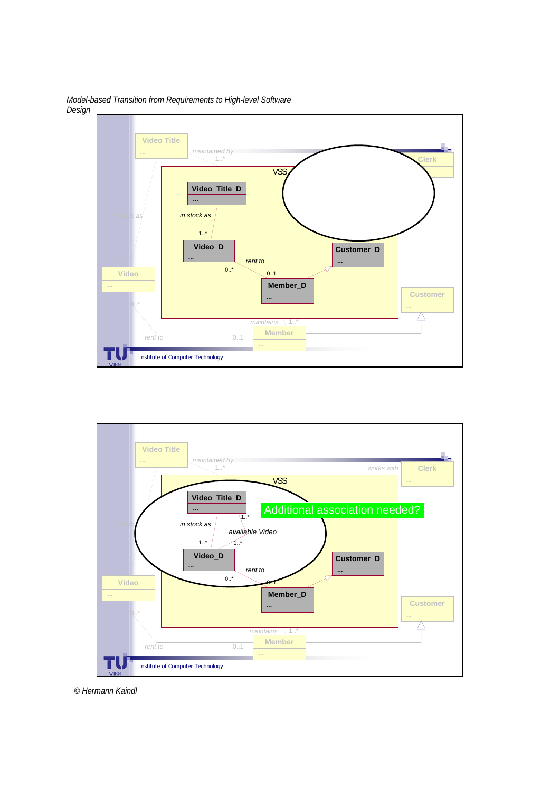

*Model-based Transition from Requirements to High-level Software Design*



*© Hermann Kaindl*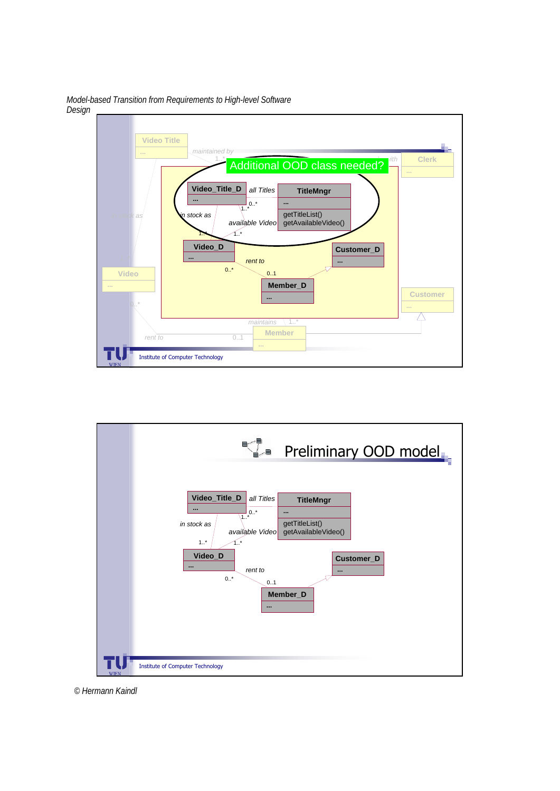

*Model-based Transition from Requirements to High-level Software Design*

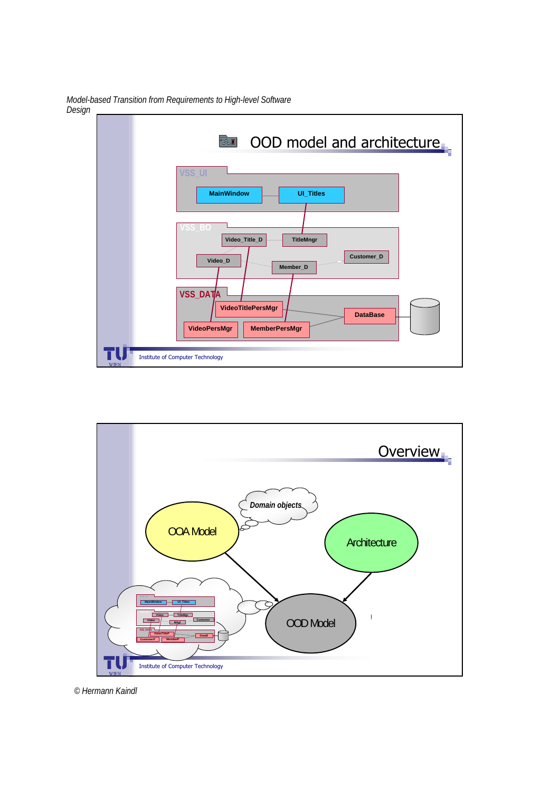*Model-based Transition from Requirements to High-level Software Design*



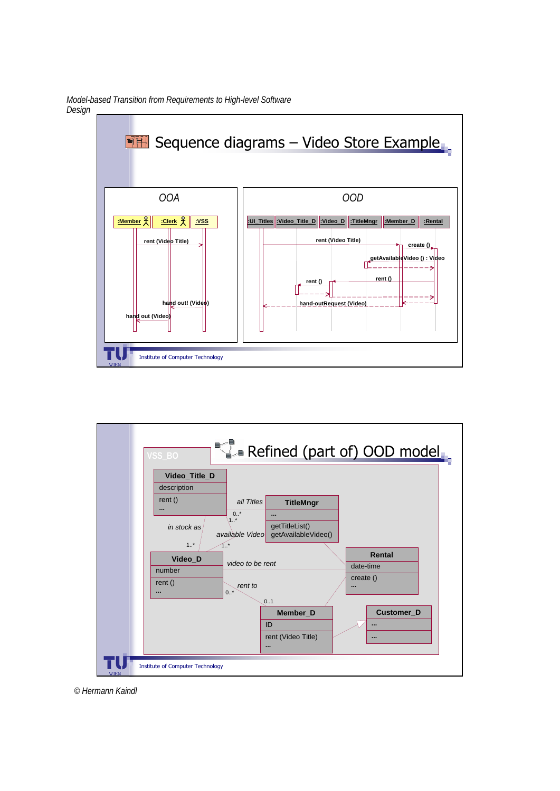

*Model-based Transition from Requirements to High-level Software Design*

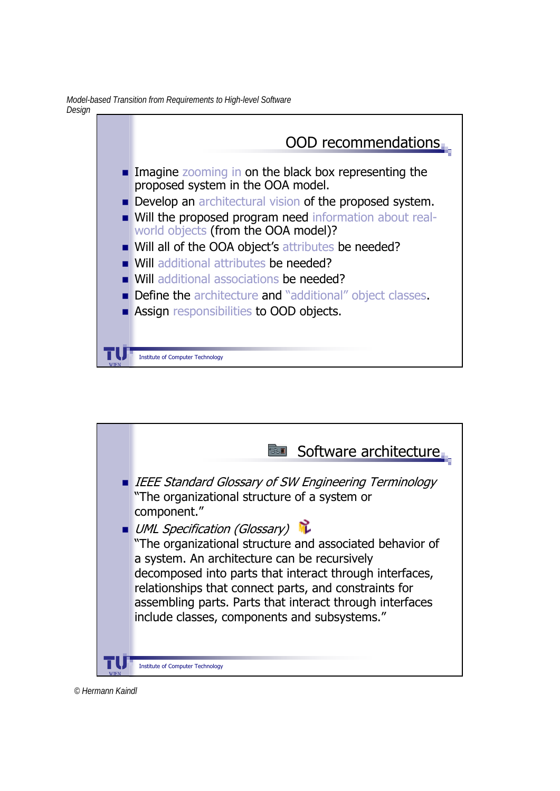*Model-based Transition from Requirements to High-level Software Design*





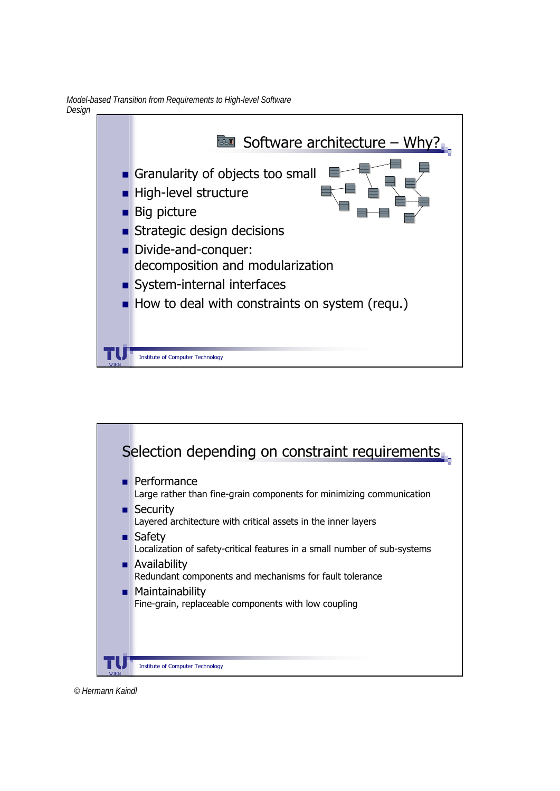*Model-based Transition from Requirements to High-level Software Design*





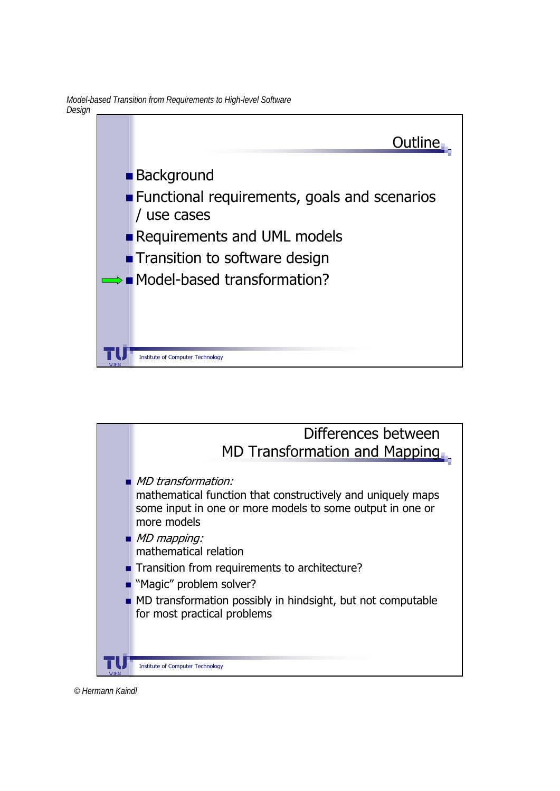*Model-based Transition from Requirements to High-level Software Design*



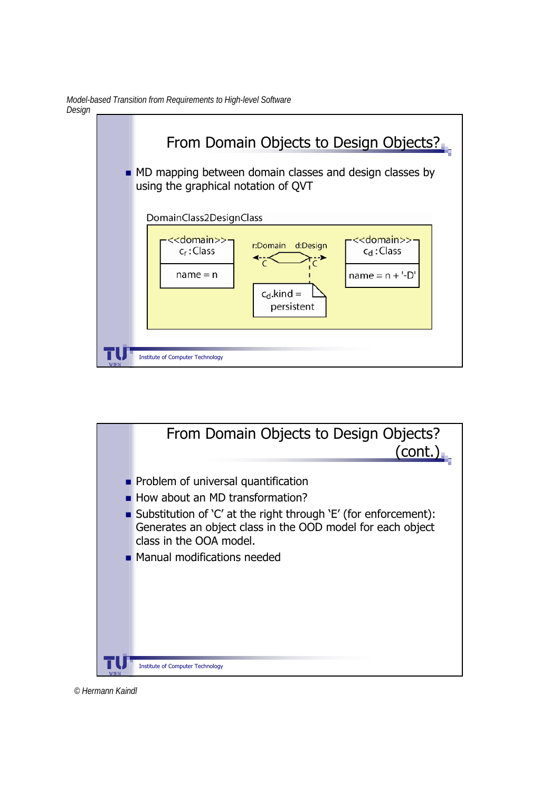*Model-based Transition from Requirements to High-level Software Design*





*© Hermann Kaindl*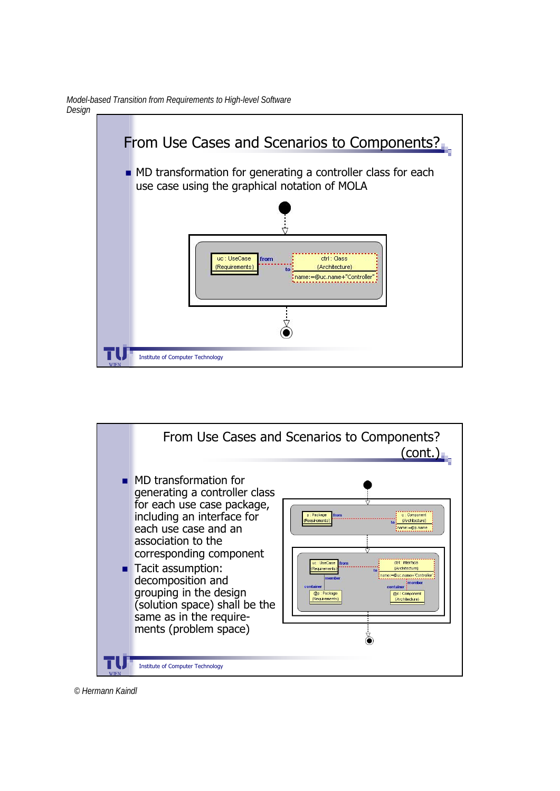*Model-based Transition from Requirements to High-level Software Design*





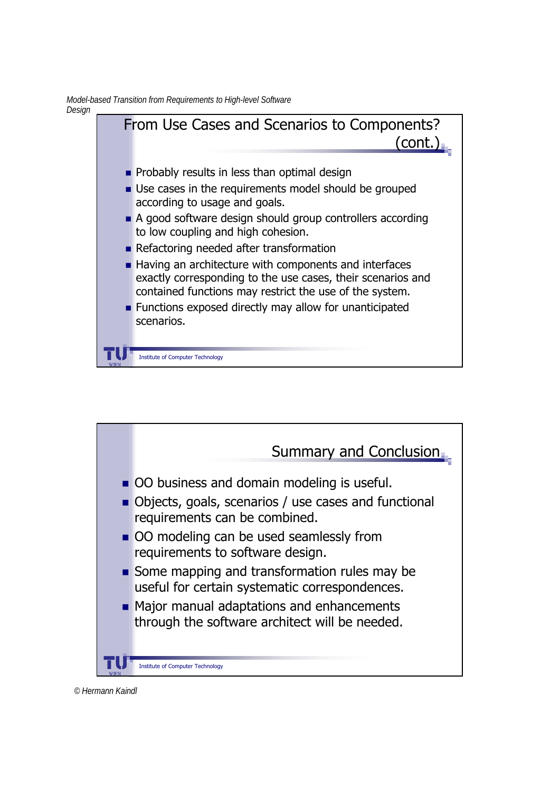*Model-based Transition from Requirements to High-level Software Design*